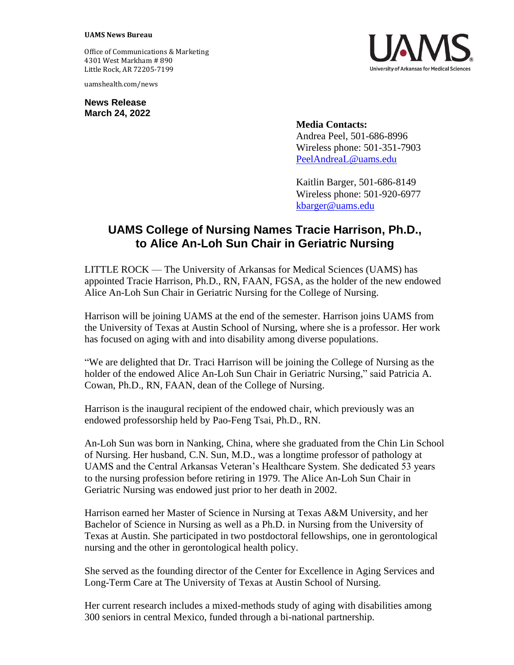## **UAMS News Bureau**

Office of Communications & Marketing 4301 West Markham # 890 Little Rock, AR 72205-7199

uamshealth.com/news

**News Release March 24, 2022**

**Media Contacts:** Andrea Peel, 501-686-8996 Wireless phone: 501-351-7903 [PeelAndreaL@uams.edu](mailto:PeelAndreaL@uams.edu)

Kaitlin Barger, 501-686-8149 Wireless phone: 501-920-6977 [kbarger@uams.edu](mailto:kbarger@uams.edu)

## **UAMS College of Nursing Names Tracie Harrison, Ph.D., to Alice An-Loh Sun Chair in Geriatric Nursing**

LITTLE ROCK — The University of Arkansas for Medical Sciences (UAMS) has appointed Tracie Harrison, Ph.D., RN, FAAN, FGSA, as the holder of the new endowed Alice An-Loh Sun Chair in Geriatric Nursing for the College of Nursing.

Harrison will be joining UAMS at the end of the semester. Harrison joins UAMS from the University of Texas at Austin School of Nursing, where she is a professor. Her work has focused on aging with and into disability among diverse populations.

"We are delighted that Dr. Traci Harrison will be joining the College of Nursing as the holder of the endowed Alice An-Loh Sun Chair in Geriatric Nursing," said Patricia A. Cowan, Ph.D., RN, FAAN, dean of the College of Nursing.

Harrison is the inaugural recipient of the endowed chair, which previously was an endowed professorship held by Pao-Feng Tsai, Ph.D., RN.

An-Loh Sun was born in Nanking, China, where she graduated from the Chin Lin School of Nursing. Her husband, C.N. Sun, M.D., was a longtime professor of pathology at UAMS and the Central Arkansas Veteran's Healthcare System. She dedicated 53 years to the nursing profession before retiring in 1979. The Alice An-Loh Sun Chair in Geriatric Nursing was endowed just prior to her death in 2002.

Harrison earned her Master of Science in Nursing at Texas A&M University, and her Bachelor of Science in Nursing as well as a Ph.D. in Nursing from the University of Texas at Austin. She participated in two postdoctoral fellowships, one in gerontological nursing and the other in gerontological health policy.

She served as the founding director of the Center for Excellence in Aging Services and Long-Term Care at The University of Texas at Austin School of Nursing.

Her current research includes a mixed-methods study of aging with disabilities among 300 seniors in central Mexico, funded through a bi-national partnership.